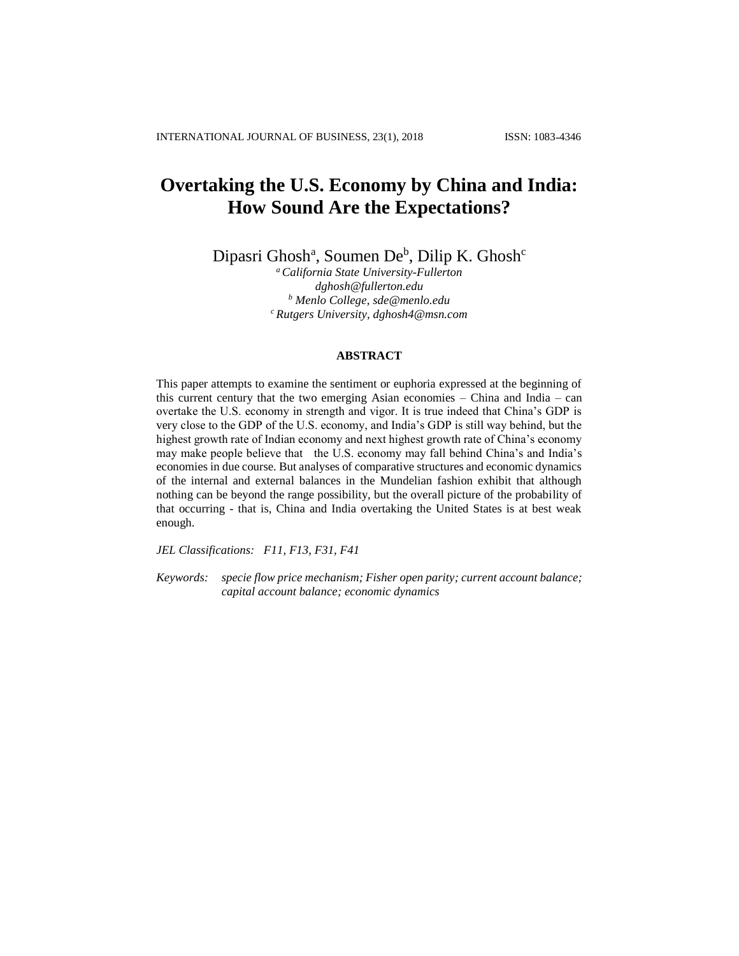# **Overtaking the U.S. Economy by China and India: How Sound Are the Expectations?**

Dipasri Ghosh<sup>a</sup>, Soumen De<sup>b</sup>, Dilip K. Ghosh<sup>c</sup>

*<sup>a</sup>California State University-Fullerton [dghosh@fullerton.edu](mailto:dghosh@fullerton.edu) <sup>b</sup> Menlo College, [sde@menlo.edu](mailto:sde@menlo.edu) <sup>c</sup>Rutgers University, [dghosh4@msn.com](mailto:dghosh4@msn.com)*

#### **ABSTRACT**

This paper attempts to examine the sentiment or euphoria expressed at the beginning of this current century that the two emerging Asian economies – China and India – can overtake the U.S. economy in strength and vigor. It is true indeed that China's GDP is very close to the GDP of the U.S. economy, and India's GDP is still way behind, but the highest growth rate of Indian economy and next highest growth rate of China's economy may make people believe that the U.S. economy may fall behind China's and India's economies in due course. But analyses of comparative structures and economic dynamics of the internal and external balances in the Mundelian fashion exhibit that although nothing can be beyond the range possibility, but the overall picture of the probability of that occurring - that is, China and India overtaking the United States is at best weak enough.

*JEL Classifications: F11, F13, F31, F41*

*Keywords: specie flow price mechanism; Fisher open parity; current account balance; capital account balance; economic dynamics*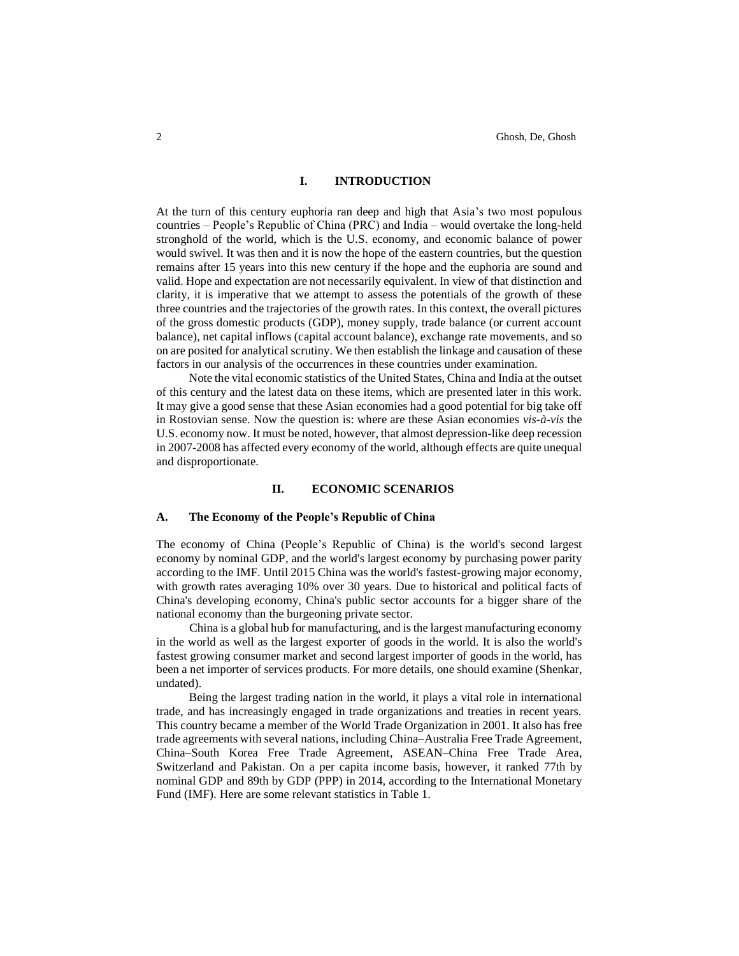#### **I. INTRODUCTION**

At the turn of this century euphoria ran deep and high that Asia's two most populous countries – People's Republic of China (PRC) and India – would overtake the long-held stronghold of the world, which is the U.S. economy, and economic balance of power would swivel. It was then and it is now the hope of the eastern countries, but the question remains after 15 years into this new century if the hope and the euphoria are sound and valid. Hope and expectation are not necessarily equivalent. In view of that distinction and clarity, it is imperative that we attempt to assess the potentials of the growth of these three countries and the trajectories of the growth rates. In this context, the overall pictures of the gross domestic products (GDP), money supply, trade balance (or current account balance), net capital inflows (capital account balance), exchange rate movements, and so on are posited for analytical scrutiny. We then establish the linkage and causation of these factors in our analysis of the occurrences in these countries under examination.

Note the vital economic statistics of the United States, China and India at the outset of this century and the latest data on these items, which are presented later in this work. It may give a good sense that these Asian economies had a good potential for big take off in Rostovian sense. Now the question is: where are these Asian economies *vis-à-vis* the U.S. economy now. It must be noted, however, that almost depression-like deep recession in 2007-2008 has affected every economy of the world, although effects are quite unequal and disproportionate.

## **II. ECONOMIC SCENARIOS**

#### **A. The Economy of the People's Republic of China**

The economy of [China](https://en.wikipedia.org/wiki/China) (People's Republic of China) is the [world's second largest](https://en.wikipedia.org/wiki/List_of_countries_by_GDP_%28nominal%29)  [economy by nominal GDP,](https://en.wikipedia.org/wiki/List_of_countries_by_GDP_%28nominal%29) and the [world's largest economy by purchasing power parity](https://en.wikipedia.org/wiki/List_of_countries_by_GDP_%28PPP%29) according to the IMF. Until 2015 China was the world's [fastest-growing major economy,](https://en.wikipedia.org/wiki/List_of_countries_by_real_GDP_growth_rate_%28latest_year%29) with [growth rates averaging 10%](https://en.wikipedia.org/wiki/Historical_GDP_of_the_People%27s_Republic_of_China) over 30 years. Due to historical and political facts of China's developing economy, China's public sector accounts for a bigger share of the national economy than the burgeoning private sector.

China is a global hub for manufacturing, and is the largest manufacturing economy in the world as well as the largest [exporter](https://en.wikipedia.org/wiki/Export) of goods in the world. It is also the world's fastest growing [consumer market](https://en.wikipedia.org/wiki/Consumer_market) and second largest [importer](https://en.wikipedia.org/wiki/Import) of goods in the world, has been a net importer of services products. For more details, one should examine (Shenkar, undated).

Being the largest trading nation in the world, it plays a vital role in international trade, and has increasingly engaged in trade organizations and treaties in recent years. This country became a member of the [World Trade Organization](https://en.wikipedia.org/wiki/World_Trade_Organization) in 2001. It also has free trade agreements with several nations, includin[g China–Australia Free Trade Agreement,](https://en.wikipedia.org/wiki/China%E2%80%93Australia_Free_Trade_Agreement) [China–South Korea Free Trade Agreement,](https://en.wikipedia.org/wiki/China%E2%80%93South_Korea_Free_Trade_Agreement) [ASEAN–China Free Trade Area,](https://en.wikipedia.org/wiki/ASEAN%E2%80%93China_Free_Trade_Area) [Switzerland](https://en.wikipedia.org/wiki/Switzerland) and [Pakistan.](https://en.wikipedia.org/wiki/Pakistan) On a [per capita income](https://en.wikipedia.org/wiki/Per_capita_income) basis, however, it ranked [77th by](https://en.wikipedia.org/wiki/List_of_countries_by_GDP_%28nominal%29_per_capita)  [nominal GDP](https://en.wikipedia.org/wiki/List_of_countries_by_GDP_%28nominal%29_per_capita) and [89th by GDP \(PPP\)](https://en.wikipedia.org/wiki/List_of_countries_by_GDP_%28PPP%29_per_capita) in 2014, according to the [International Monetary](https://en.wikipedia.org/wiki/International_Monetary_Fund)  [Fund](https://en.wikipedia.org/wiki/International_Monetary_Fund) (IMF). Here are some relevant statistics in Table 1.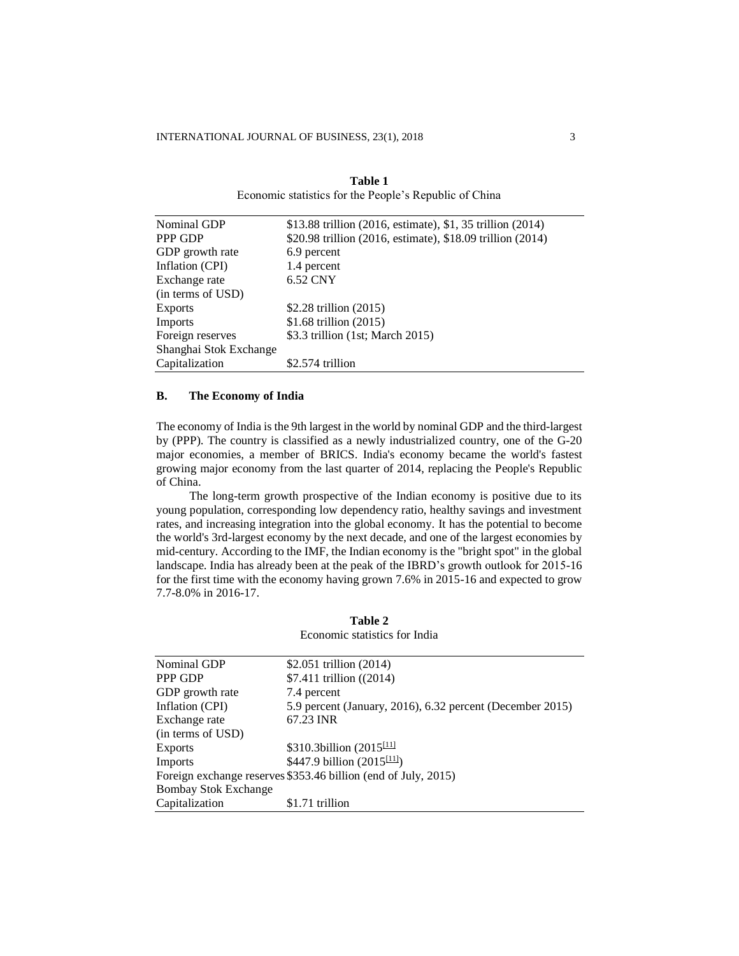| Nominal GDP            | \$13.88 trillion (2016, estimate), \$1, 35 trillion (2014) |
|------------------------|------------------------------------------------------------|
| PPP GDP                | \$20.98 trillion (2016, estimate), \$18.09 trillion (2014) |
| GDP growth rate        | 6.9 percent                                                |
| Inflation (CPI)        | 1.4 percent                                                |
| Exchange rate          | 6.52 CNY                                                   |
| (in terms of USD)      |                                                            |
| <b>Exports</b>         | \$2.28 trillion $(2015)$                                   |
| Imports                | \$1.68 trillion $(2015)$                                   |
| Foreign reserves       | \$3.3 trillion (1st; March 2015)                           |
| Shanghai Stok Exchange |                                                            |
| Capitalization         | \$2.574 trillion                                           |

| Table 1                                                |
|--------------------------------------------------------|
| Economic statistics for the People's Republic of China |

### **B. The Economy of India**

The economy of [India](https://en.wikipedia.org/wiki/India) is th[e 9th largest](https://en.wikipedia.org/wiki/List_of_countries_by_GDP_%28nominal%29) in the world b[y nominal GDP](https://en.wikipedia.org/wiki/Gross_domestic_product) and th[e third-largest](https://en.wikipedia.org/wiki/List_of_countries_by_GDP_%28PPP%29) by (PPP). The country is classified as a [newly industrialized country,](https://en.wikipedia.org/wiki/Newly_industrialised_country) one of the [G-20](https://en.wikipedia.org/wiki/G-20_major_economies)  [major economies,](https://en.wikipedia.org/wiki/G-20_major_economies) a member of [BRICS.](https://en.wikipedia.org/wiki/BRICS) India's economy became the world's fastest growing [major economy](https://en.wikipedia.org/wiki/G20_major_economies) from the last quarter of 2014, replacing the [People's Republic](https://en.wikipedia.org/wiki/People%27s_Republic_of_China)  [of China.](https://en.wikipedia.org/wiki/People%27s_Republic_of_China)

The long-term growth prospective of the Indian economy is positive due to its young population, corresponding low dependency ratio, healthy savings and investment rates, and increasing integration into the global economy. It has the potential to become the world'[s 3rd-largest economy](https://en.wikipedia.org/wiki/List_of_countries_by_GDP_%28nominal%29) by the next decade, and one of the [largest economies](https://en.wikipedia.org/wiki/List_of_countries_by_GDP_%28PPP%29) by mid-century. According to the IMF, the Indian economy is the "bright spot" in the global landscape. India has already been at the peak of th[e IBRD'](https://en.wikipedia.org/wiki/World_Bank)s growth outlook for 2015-16 for the first time with the economy having grown 7.6% in 2015-16 and expected to grow 7.7-8.0% in 2016-17.

| Nominal GDP                                                    | \$2.051 trillion $(2014)$                                 |  |
|----------------------------------------------------------------|-----------------------------------------------------------|--|
| PPP GDP                                                        | \$7.411 trillion ((2014)                                  |  |
| GDP growth rate                                                | 7.4 percent                                               |  |
| Inflation (CPI)                                                | 5.9 percent (January, 2016), 6.32 percent (December 2015) |  |
| Exchange rate                                                  | 67.23 INR                                                 |  |
| (in terms of USD)                                              |                                                           |  |
| Exports                                                        | \$310.3billion (2015 $\frac{[11]}{[11]}$                  |  |
| Imports                                                        | \$447.9 billion (2015 <sup>[11]</sup> )                   |  |
| Foreign exchange reserves \$353.46 billion (end of July, 2015) |                                                           |  |
| <b>Bombay Stok Exchange</b>                                    |                                                           |  |
| Capitalization                                                 | \$1.71 trillion                                           |  |

| Table 2                       |  |  |  |
|-------------------------------|--|--|--|
| Economic statistics for India |  |  |  |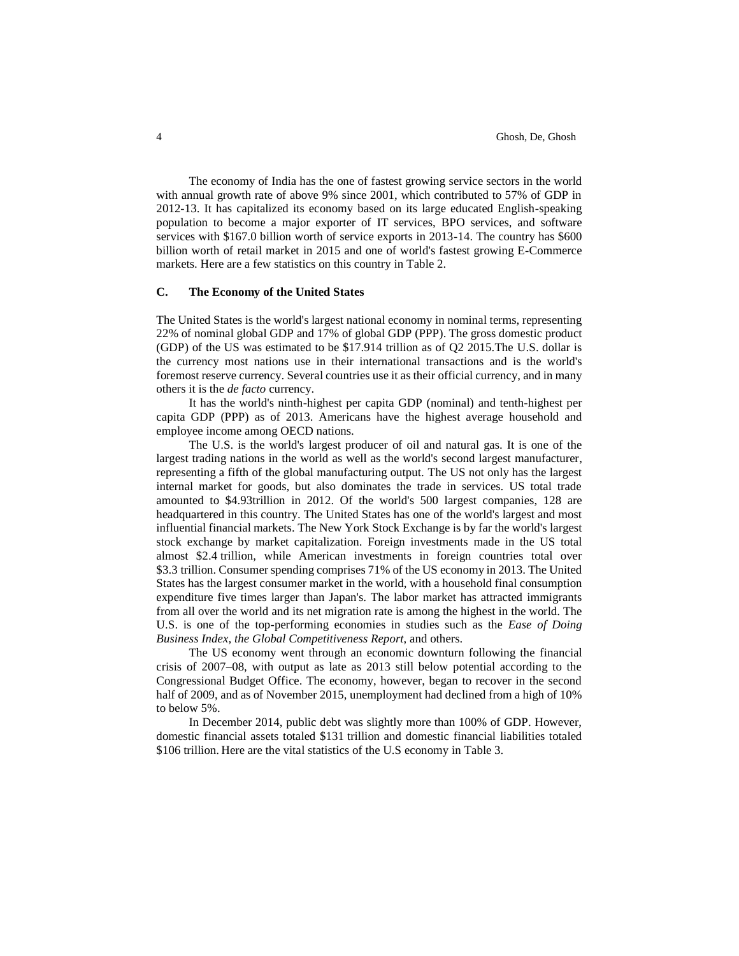The economy of India has the one of fastest growing [service sectors](https://en.wikipedia.org/wiki/Service_Sector) in the world with annual growth rate of above 9% since 2001, which contributed to 57% of GDP in 2012-13. It has capitalized its economy based on its large educated English-speaking population to become a major exporter of [IT](https://en.wikipedia.org/wiki/Information_Technology) services, [BPO](https://en.wikipedia.org/wiki/Business_Process_Outsourcing) services, and [software](https://en.wikipedia.org/wiki/Software) services with \$167.0 billion worth of service exports in 2013-14. The country has \$600 billion worth of [retail market](https://en.wikipedia.org/wiki/Retailing_in_India) in 2015 and one of world's fastest growing E-Commerce markets. Here are a few statistics on this country in Table 2.

## **C. The Economy of the United States**

Th[e United States](https://en.wikipedia.org/wiki/United_States) is the world's largest national economy in nominal terms, representing 22% of [nominal global GDP](https://en.wikipedia.org/wiki/List_of_countries_by_GDP_%28nominal%29) and 17% of [global GDP \(PPP\).](https://en.wikipedia.org/wiki/List_of_countries_by_GDP_%28PPP%29) The gross domestic product (GDP) of the US was estimated to be \$17.914 trillion as of Q2 2015.The [U.S. dollar](https://en.wikipedia.org/wiki/U.S._dollar) is the [currency](https://en.wikipedia.org/wiki/Currency) most nations use in their [international transactions](https://en.wikipedia.org/wiki/International_trade) and is the world's foremost [reserve currency.](https://en.wikipedia.org/wiki/Reserve_currency) Several countries [use it as their official currency,](https://en.wikipedia.org/wiki/International_use_of_the_US_dollar) and in many others it is the *de facto* [currency.](https://en.wikipedia.org/wiki/De_facto_currency)

It has the world's ninth-highest [per capita GDP \(nominal\)](https://en.wikipedia.org/wiki/List_of_countries_by_GDP_%28nominal%29_per_capita) and tenth-highest [per](https://en.wikipedia.org/wiki/List_of_countries_by_GDP_per_capita_%28PPP%29)  [capita GDP \(PPP\)](https://en.wikipedia.org/wiki/List_of_countries_by_GDP_per_capita_%28PPP%29) as of 2013. Americans have the highest average [household](https://en.wikipedia.org/wiki/Household_income) and [employee](https://en.wikipedia.org/wiki/List_of_countries_by_average_wage) income among OECD nations.

The U.S. is the world's [largest producer of oil](https://en.wikipedia.org/wiki/List_of_countries_by_oil_production) and [natural gas.](https://en.wikipedia.org/wiki/List_of_countries_by_natural_gas_production) It is one of the largest trading nations in the world as well as [the world's second largest manufacturer,](https://en.wikipedia.org/wiki/Manufacturing_in_the_United_States) representing a fifth of the global manufacturing output. The US not only has the largest internal market for goods, but also dominates the trade in services. US total trade amounted to \$4.93trillion in 2012. Of the world's 500 largest companies, 128 are headquartered in this country. The United States has one of the world's largest and most influential [financial markets.](https://en.wikipedia.org/wiki/Financial_market) Th[e New York Stock Exchange](https://en.wikipedia.org/wiki/New_York_Stock_Exchange) is by far the world's largest stock exchange by [market capitalization.](https://en.wikipedia.org/wiki/Market_capitalization) [Foreign investments](https://en.wikipedia.org/wiki/Foreign_Direct_Investment) made in the US total almost \$2.4 trillion, while American [investments in foreign countries](https://en.wikipedia.org/wiki/Foreign_Direct_Investment) total over \$3.3 trillion[. Consumer spending](https://en.wikipedia.org/wiki/Consumer_spending) comprises 71% of the US economy in 2013. The United States has the largest [consumer market](https://en.wikipedia.org/wiki/List_of_largest_consumer_markets) in the world, with [a household final consumption](https://en.wikipedia.org/wiki/Household_final_consumption_expenditure)  [expenditure](https://en.wikipedia.org/wiki/Household_final_consumption_expenditure) five times larger than [Japan's](https://en.wikipedia.org/wiki/Japan). The labor market has attracted [immigrants](https://en.wikipedia.org/wiki/Immigration_to_the_United_States)  [from all over the world](https://en.wikipedia.org/wiki/Immigration_to_the_United_States) and its [net migration rate](https://en.wikipedia.org/wiki/List_of_countries_by_net_migration_rate) is among the highest in the world. The U.S. is one of the top-performing economies in studies such as the *[Ease of Doing](https://en.wikipedia.org/wiki/Ease_of_Doing_Business_Index)  [Business Index,](https://en.wikipedia.org/wiki/Ease_of_Doing_Business_Index) the [Global Competitiveness Report](https://en.wikipedia.org/wiki/Global_Competitiveness_Report)*, and others.

The US economy went through an economic downturn following the [financial](https://en.wikipedia.org/wiki/Financial_crisis_of_2007%E2%80%9308)  [crisis of 2007–08,](https://en.wikipedia.org/wiki/Financial_crisis_of_2007%E2%80%9308) with output as late as 2013 still below potential according to the [Congressional Budget Office.](https://en.wikipedia.org/wiki/Congressional_Budget_Office) The economy, however, began to recover in the second half of 2009, and as of November 2015, [unemployment](https://en.wikipedia.org/wiki/Unemployment) had declined from a high of 10% to below 5%.

In December 2014, [public debt](https://en.wikipedia.org/wiki/United_States_public_debt) was slightly more than 100% of GDP. However, domestic financial [assets](https://en.wikipedia.org/wiki/Asset) totaled \$131 trillion and domestic financial [liabilities](https://en.wikipedia.org/wiki/Liability_%28accounting%29) totaled \$106 trillion. Here are the vital statistics of the U.S economy in Table 3.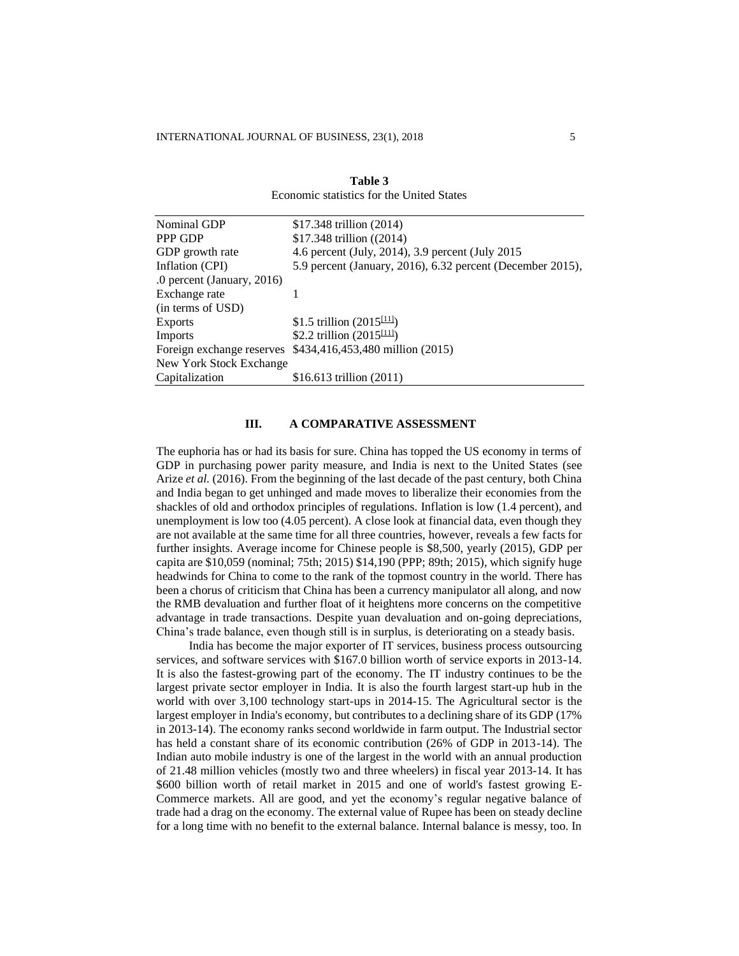| Nominal GDP                | \$17.348 trillion (2014)                                   |
|----------------------------|------------------------------------------------------------|
| PPP GDP                    | \$17.348 trillion ((2014)                                  |
| GDP growth rate            | 4.6 percent (July, 2014), 3.9 percent (July 2015)          |
| Inflation (CPI)            | 5.9 percent (January, 2016), 6.32 percent (December 2015), |
| .0 percent (January, 2016) |                                                            |
| Exchange rate              |                                                            |
| (in terms of USD)          |                                                            |
| Exports                    | \$1.5 trillion $(2015^{[11]})$                             |
| Imports                    | \$2.2 trillion $(2015^{[11]})$                             |
| Foreign exchange reserves  | \$434,416,453,480 million (2015)                           |
| New York Stock Exchange    |                                                            |
| Capitalization             | \$16.613 trillion $(2011)$                                 |

| Table 3                                   |  |  |  |
|-------------------------------------------|--|--|--|
| Economic statistics for the United States |  |  |  |

#### **III. A COMPARATIVE ASSESSMENT**

The euphoria has or had its basis for sure. China has topped the US economy in terms of GDP in purchasing power parity measure, and India is next to the United States (see Arize *et al.* (2016). From the beginning of the last decade of the past century, both China and India began to get unhinged and made moves to liberalize their economies from the shackles of old and orthodox principles of regulations. Inflation is low (1.4 percent), and unemployment is low too (4.05 percent). A close look at financial data, even though they are not available at the same time for all three countries, however, reveals a few facts for further insights. Average income for Chinese people is \$8,500, yearly (2015), GDP per capita are \$10,059 (nominal; [75th;](https://en.wikipedia.org/wiki/List_of_countries_by_GDP_%28nominal%29_per_capita) 2015) \$14,190 (PPP; [89th;](https://en.wikipedia.org/wiki/List_of_countries_by_GDP_%28PPP%29_per_capita) 2015), which signify huge headwinds for China to come to the rank of the topmost country in the world. There has been a chorus of criticism that China has been a currency manipulator all along, and now the RMB devaluation and further float of it heightens more concerns on the competitive advantage in trade transactions. Despite yuan devaluation and on-going depreciations, China's trade balance, even though still is in surplus, is deteriorating on a steady basis.

India has become the major exporter of [IT](https://en.wikipedia.org/wiki/Information_Technology) services, business process outsourcing services, and [software](https://en.wikipedia.org/wiki/Software) services with \$167.0 billion worth of service exports in 2013-14. It is also the fastest-growing part of the economy. The IT industry continues to be the largest private sector employer in India. It is also the fourth largest start-up hub in the world with over 3,100 technology start-ups in 2014-15. The [Agricultural sector](https://en.wikipedia.org/wiki/Agricultural_sector) is the largest employer in India's economy, but contributes to a declining share of its GDP (17% in 2013-14). The economy [ranks second](https://en.wikipedia.org/wiki/List_of_largest_producing_countries_of_agricultural_commodities) worldwide in farm output. The [Industrial sector](https://en.wikipedia.org/wiki/Industry) has held a constant share of its economic contribution (26% of GDP in 2013-14). The Indian auto mobile industry is one of the largest in the world with an annual production of 21.48 million vehicles (mostly two and three wheelers) in fiscal year 2013-14. It has \$600 billion worth of [retail market](https://en.wikipedia.org/wiki/Retailing_in_India) in 2015 and one of world's fastest growing E-Commerce markets. All are good, and yet the economy's regular negative balance of trade had a drag on the economy. The external value of Rupee has been on steady decline for a long time with no benefit to the external balance. Internal balance is messy, too. In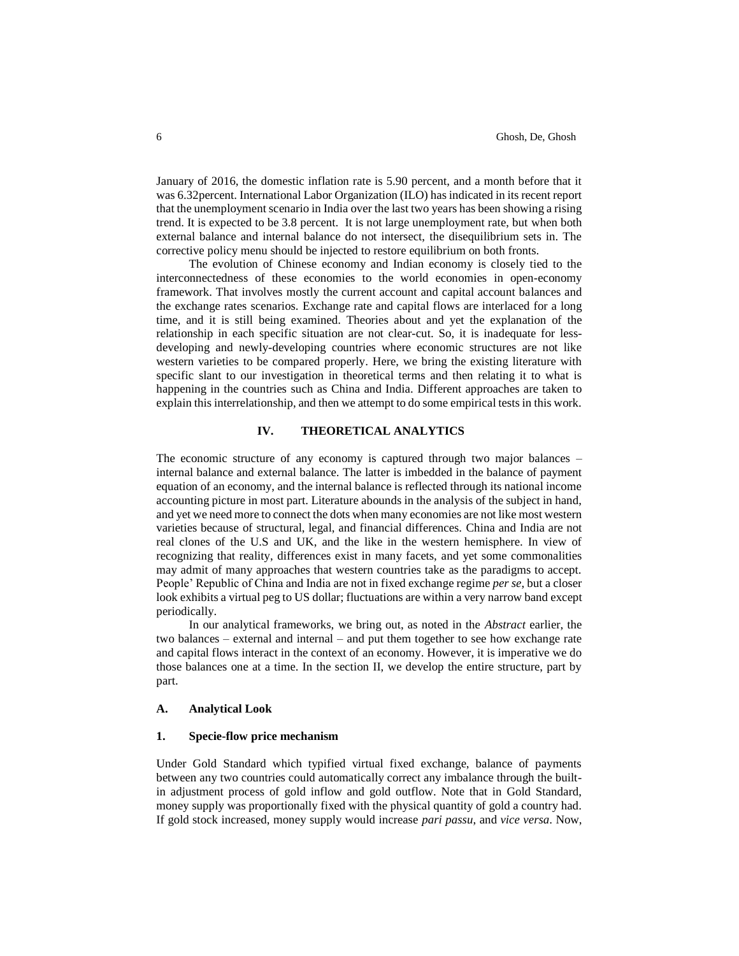January of 2016, the domestic inflation rate is 5.90 percent, and a month before that it was 6.32percent. International Labor Organization (ILO) has indicated in its recent report that the unemployment scenario in India over the last two years has been showing a rising trend. It is expected to be 3.8 percent. It is not large unemployment rate, but when both external balance and internal balance do not intersect, the disequilibrium sets in. The corrective policy menu should be injected to restore equilibrium on both fronts.

The evolution of Chinese economy and Indian economy is closely tied to the interconnectedness of these economies to the world economies in open-economy framework. That involves mostly the current account and capital account balances and the exchange rates scenarios. Exchange rate and capital flows are interlaced for a long time, and it is still being examined. Theories about and yet the explanation of the relationship in each specific situation are not clear-cut. So, it is inadequate for lessdeveloping and newly-developing countries where economic structures are not like western varieties to be compared properly. Here, we bring the existing literature with specific slant to our investigation in theoretical terms and then relating it to what is happening in the countries such as China and India. Different approaches are taken to explain this interrelationship, and then we attempt to do some empirical tests in this work.

## **IV. THEORETICAL ANALYTICS**

The economic structure of any economy is captured through two major balances – internal balance and external balance. The latter is imbedded in the balance of payment equation of an economy, and the internal balance is reflected through its national income accounting picture in most part. Literature abounds in the analysis of the subject in hand, and yet we need more to connect the dots when many economies are not like most western varieties because of structural, legal, and financial differences. China and India are not real clones of the U.S and UK, and the like in the western hemisphere. In view of recognizing that reality, differences exist in many facets, and yet some commonalities may admit of many approaches that western countries take as the paradigms to accept. People' Republic of China and India are not in fixed exchange regime *per se*, but a closer look exhibits a virtual peg to US dollar; fluctuations are within a very narrow band except periodically.

In our analytical frameworks, we bring out, as noted in the *Abstract* earlier, the two balances – external and internal – and put them together to see how exchange rate and capital flows interact in the context of an economy. However, it is imperative we do those balances one at a time. In the section II, we develop the entire structure, part by part.

#### **A. Analytical Look**

#### **1. Specie-flow price mechanism**

Under Gold Standard which typified virtual fixed exchange, balance of payments between any two countries could automatically correct any imbalance through the builtin adjustment process of gold inflow and gold outflow. Note that in Gold Standard, money supply was proportionally fixed with the physical quantity of gold a country had. If gold stock increased, money supply would increase *pari passu*, and *vice versa*. Now,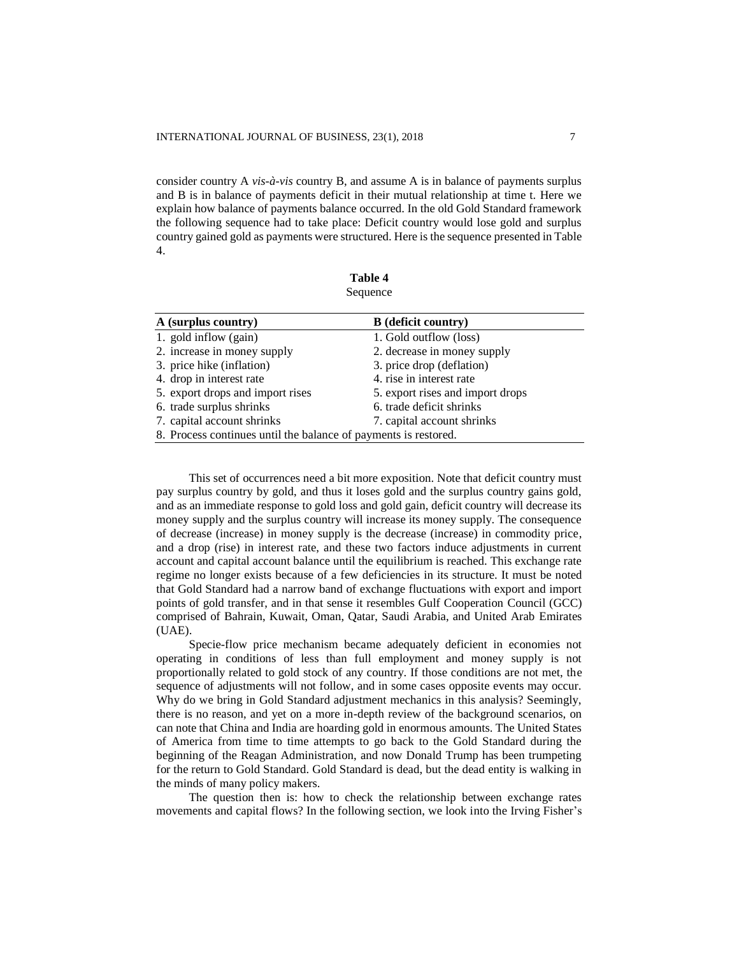consider country A *vis-à-vis* country B, and assume A is in balance of payments surplus and B is in balance of payments deficit in their mutual relationship at time t. Here we explain how balance of payments balance occurred. In the old Gold Standard framework the following sequence had to take place: Deficit country would lose gold and surplus country gained gold as payments were structured. Here is the sequence presented in Table 4.

**Table 4** Sequence

| A (surplus country)                                             | <b>B</b> (deficit country)       |  |
|-----------------------------------------------------------------|----------------------------------|--|
| 1. gold inflow (gain)                                           | 1. Gold outflow (loss)           |  |
| 2. increase in money supply                                     | 2. decrease in money supply      |  |
| 3. price hike (inflation)                                       | 3. price drop (deflation)        |  |
| 4. drop in interest rate                                        | 4. rise in interest rate         |  |
| 5. export drops and import rises                                | 5. export rises and import drops |  |
| 6. trade surplus shrinks                                        | 6. trade deficit shrinks         |  |
| 7. capital account shrinks                                      | 7. capital account shrinks       |  |
| 8. Process continues until the balance of payments is restored. |                                  |  |

This set of occurrences need a bit more exposition. Note that deficit country must pay surplus country by gold, and thus it loses gold and the surplus country gains gold, and as an immediate response to gold loss and gold gain, deficit country will decrease its money supply and the surplus country will increase its money supply. The consequence of decrease (increase) in money supply is the decrease (increase) in commodity price, and a drop (rise) in interest rate, and these two factors induce adjustments in current account and capital account balance until the equilibrium is reached. This exchange rate regime no longer exists because of a few deficiencies in its structure. It must be noted that Gold Standard had a narrow band of exchange fluctuations with export and import points of gold transfer, and in that sense it resembles Gulf Cooperation Council (GCC) comprised of Bahrain, Kuwait, Oman, Qatar, Saudi Arabia, and United Arab Emirates (UAE).

Specie-flow price mechanism became adequately deficient in economies not operating in conditions of less than full employment and money supply is not proportionally related to gold stock of any country. If those conditions are not met, the sequence of adjustments will not follow, and in some cases opposite events may occur. Why do we bring in Gold Standard adjustment mechanics in this analysis? Seemingly, there is no reason, and yet on a more in-depth review of the background scenarios, on can note that China and India are hoarding gold in enormous amounts. The United States of America from time to time attempts to go back to the Gold Standard during the beginning of the Reagan Administration, and now Donald Trump has been trumpeting for the return to Gold Standard. Gold Standard is dead, but the dead entity is walking in the minds of many policy makers.

The question then is: how to check the relationship between exchange rates movements and capital flows? In the following section, we look into the Irving Fisher's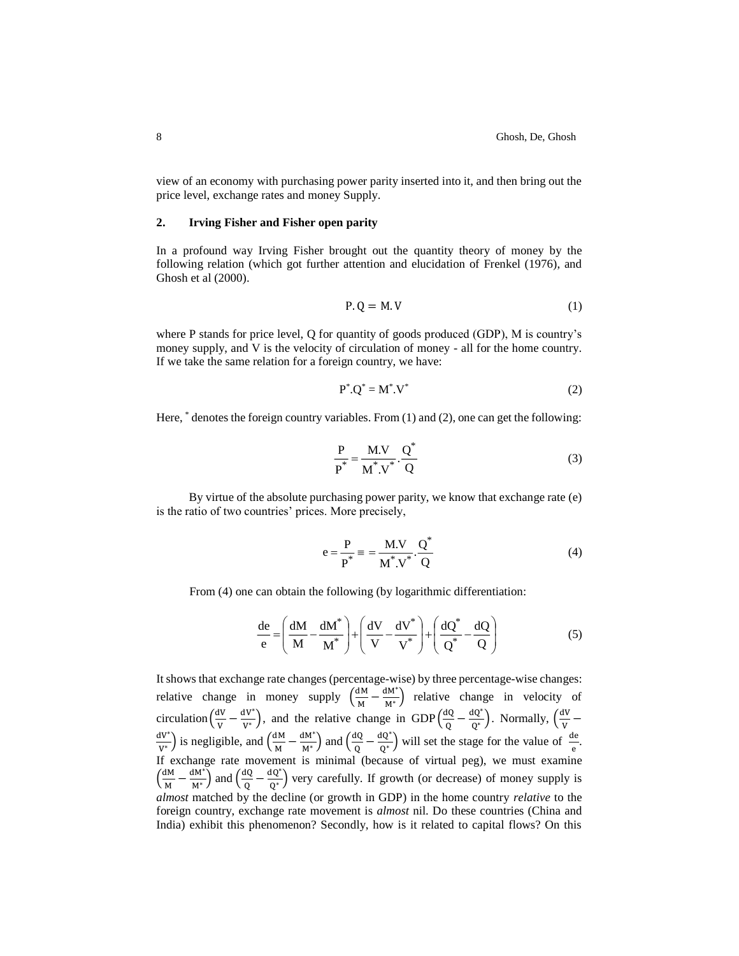view of an economy with purchasing power parity inserted into it, and then bring out the price level, exchange rates and money Supply.

#### **2. Irving Fisher and Fisher open parity**

In a profound way Irving Fisher brought out the quantity theory of money by the following relation (which got further attention and elucidation of Frenkel (1976), and Ghosh et al (2000).

$$
P.Q = M.V
$$
 (1)

where P stands for price level, O for quantity of goods produced (GDP), M is country's money supply, and V is the velocity of circulation of money - all for the home country. If we take the same relation for a foreign country, we have:

$$
P^* . Q^* = M^* . V^* \tag{2}
$$

Here,  $*$  denotes the foreign country variables. From (1) and (2), one can get the following:

$$
\frac{P}{P^*} = \frac{M.V}{M^*.V^*} \cdot \frac{Q^*}{Q}
$$
 (3)

By virtue of the absolute purchasing power parity, we know that exchange rate (e) is the ratio of two countries' prices. More precisely,

$$
e = \frac{P}{P^*} \equiv \frac{M.V}{M^*.V^*} \cdot \frac{Q^*}{Q}
$$
 (4)

From (4) one can obtain the following (by logarithmic differentiation:

$$
\frac{de}{e} = \left(\frac{dM}{M} - \frac{dM^*}{M^*}\right) + \left(\frac{dV}{V} - \frac{dV^*}{V^*}\right) + \left(\frac{dQ^*}{Q^*} - \frac{dQ}{Q}\right)
$$
(5)

It shows that exchange rate changes (percentage-wise) by three percentage-wise changes: relative change in money supply  $\left(\frac{dM}{M}\right)$  $\frac{dM}{M} - \frac{dM^*}{M^*}$  $\frac{M^M}{M^*}$ ) relative change in velocity of circulation  $\left(\frac{dV}{V}\right)$  $\frac{dV}{V} - \frac{dV^*}{V^*}$  $\frac{dV^*}{V^*}$ ), and the relative change in GDP $\left(\frac{dQ}{Q}\right)$  $\frac{dQ}{Q} - \frac{dQ^*}{Q^*}$  $\frac{dQ^*}{Q^*}$ ). Normally,  $\left(\frac{dV}{V}\right)$  $\frac{1}{V}$  – dV ∗  $\frac{dW^*}{W^*}$ ) is negligible, and  $\left(\frac{dM}{M}\right)$  $\frac{dM}{M} - \frac{dM^*}{M^*}$  $\frac{d^{d}M^{*}}{M^{*}}$ ) and  $\left(\frac{dQ}{Q}\right)$  $\frac{dQ}{Q} - \frac{dQ^*}{Q^*}$  $\frac{dQ^*}{Q^*}$  will set the stage for the value of  $\frac{de}{e}$ . If exchange rate movement is minimal (because of virtual peg), we must examine  $\left(\frac{dM}{M}\right)$  $\frac{dM}{M} - \frac{dM^*}{M^*}$  $\frac{d^{d}M^*}{M^*}$ ) and  $\left(\frac{dQ}{Q}\right)$  $\frac{dQ}{dQ} - \frac{dQ^*}{Q^*}$  $\frac{dQ}{Q^*}$ ) very carefully. If growth (or decrease) of money supply is *almost* matched by the decline (or growth in GDP) in the home country *relative* to the foreign country, exchange rate movement is *almost* nil. Do these countries (China and India) exhibit this phenomenon? Secondly, how is it related to capital flows? On this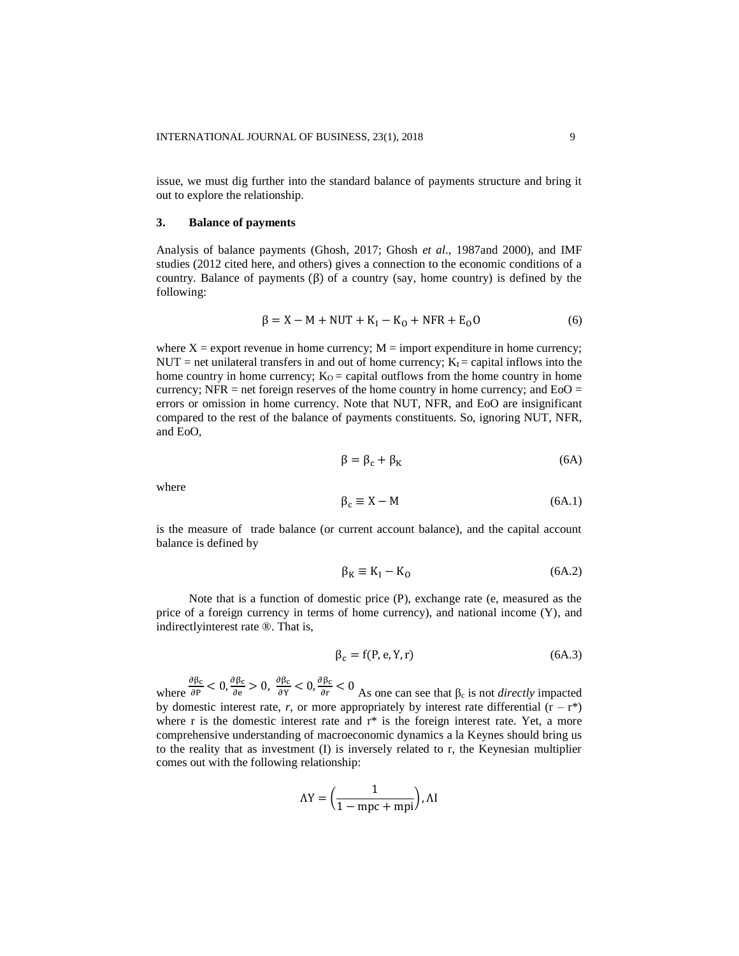issue, we must dig further into the standard balance of payments structure and bring it out to explore the relationship.

#### **3. Balance of payments**

Analysis of balance payments (Ghosh, 2017; Ghosh *et al*., 1987and 2000), and IMF studies (2012 cited here, and others) gives a connection to the economic conditions of a country. Balance of payments  $(\beta)$  of a country (say, home country) is defined by the following:

$$
\beta = X - M + NUT + K_{I} - K_{O} + NFR + E_{O}O
$$
 (6)

where  $X =$  export revenue in home currency;  $M =$  import expenditure in home currency; NUT = net unilateral transfers in and out of home currency;  $K_I$  = capital inflows into the home country in home currency;  $K<sub>O</sub> =$  capital outflows from the home country in home currency; NFR = net foreign reserves of the home country in home currency; and  $E<sub>o</sub>O$  = errors or omission in home currency. Note that NUT, NFR, and EoO are insignificant compared to the rest of the balance of payments constituents. So, ignoring NUT, NFR, and EoO,

$$
\beta = \beta_{\rm c} + \beta_{\rm K} \tag{6A}
$$

where

$$
\beta_c \equiv X - M \tag{6A.1}
$$

is the measure of trade balance (or current account balance), and the capital account balance is defined by

$$
\beta_{\rm K} \equiv \mathbf{K}_{\rm I} - \mathbf{K}_{\rm O} \tag{6A.2}
$$

Note that is a function of domestic price (P), exchange rate (e, measured as the price of a foreign currency in terms of home currency), and national income (Y), and indirectlyinterest rate ®. That is,

$$
\beta_{\rm c} = f(P, e, Y, r) \tag{6A.3}
$$

where  $\partial \beta_\mathsf{C}$  $\frac{\partial \beta_{\rm c}}{\partial P}$  < 0,  $\frac{\partial \beta_{\rm c}}{\partial e}$  $\frac{\partial \beta_c}{\partial e} > 0$ ,  $\frac{\partial \beta_c}{\partial Y}$  $\frac{\partial \beta_{\rm c}}{\partial Y}$  < 0,  $\frac{\partial \beta_{\rm c}}{\partial Y}$  $\frac{\partial \rho_c}{\partial r}$  < 0 As one can see that  $\beta_c$  is not *directly* impacted by domestic interest rate, *r*, or more appropriately by interest rate differential  $(r - r^*)$ where r is the domestic interest rate and  $r^*$  is the foreign interest rate. Yet, a more comprehensive understanding of macroeconomic dynamics a la Keynes should bring us to the reality that as investment (I) is inversely related to r, the Keynesian multiplier comes out with the following relationship:

$$
\Lambda Y = \left(\frac{1}{1 - mpc + mpi}\right), \Lambda I
$$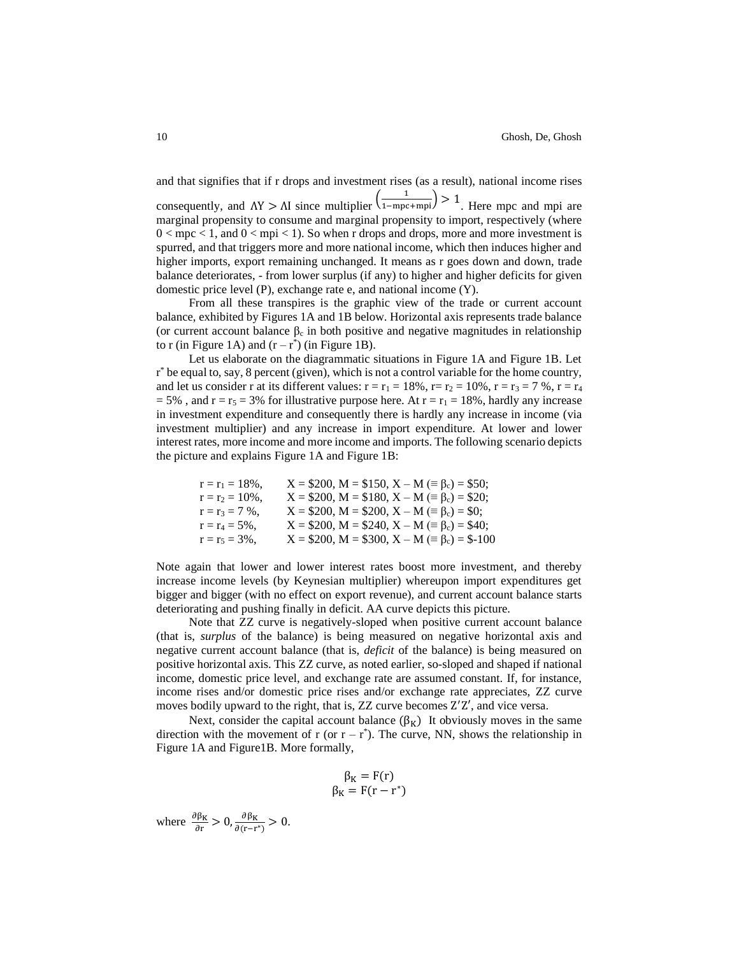and that signifies that if r drops and investment rises (as a result), national income rises consequently, and  $\Delta Y > \Delta I$  since multiplier  $\left(\frac{1}{1 - mpc + mpi}\right) > 1$ . Here mpc and mpi are marginal propensity to consume and marginal propensity to import, respectively (where  $0 < \text{mpc} < 1$ , and  $0 < \text{mpi} < 1$ ). So when r drops and drops, more and more investment is spurred, and that triggers more and more national income, which then induces higher and higher imports, export remaining unchanged. It means as r goes down and down, trade balance deteriorates, - from lower surplus (if any) to higher and higher deficits for given domestic price level (P), exchange rate e, and national income (Y).

From all these transpires is the graphic view of the trade or current account balance, exhibited by Figures 1A and 1B below. Horizontal axis represents trade balance (or current account balance  $\beta_c$  in both positive and negative magnitudes in relationship to r (in Figure 1A) and  $(r - r^*)$  (in Figure 1B).

Let us elaborate on the diagrammatic situations in Figure 1A and Figure 1B. Let r \* be equal to, say, 8 percent (given), which is not a control variable for the home country, and let us consider r at its different values:  $r = r_1 = 18\%$ ,  $r = r_2 = 10\%$ ,  $r = r_3 = 7\%$ ,  $r = r_4$  $= 5\%$ , and  $r = r_5 = 3\%$  for illustrative purpose here. At  $r = r_1 = 18\%$ , hardly any increase in investment expenditure and consequently there is hardly any increase in income (via investment multiplier) and any increase in import expenditure. At lower and lower interest rates, more income and more income and imports. The following scenario depicts the picture and explains Figure 1A and Figure 1B:

| $r = r_1 = 18\%$ , | $X = $200, M = $150, X - M \equiv \beta_c = $50;$ |
|--------------------|---------------------------------------------------|
| $r = r_2 = 10\%$ . | $X = $200, M = $180, X - M \equiv \beta_c = $20;$ |
| $r = r_3 = 7\%$ ,  | $X = $200, M = $200, X - M \equiv \beta_c = $0;$  |
| $r = r_4 = 5\%$ .  | $X = $200, M = $240, X - M (= \beta_c) = $40;$    |
| $r = r_5 = 3\%$ ,  | $X = $200, M = $300, X - M (= \beta_c) = $-100$   |

Note again that lower and lower interest rates boost more investment, and thereby increase income levels (by Keynesian multiplier) whereupon import expenditures get bigger and bigger (with no effect on export revenue), and current account balance starts deteriorating and pushing finally in deficit. AA curve depicts this picture.

Note that ZZ curve is negatively-sloped when positive current account balance (that is, *surplus* of the balance) is being measured on negative horizontal axis and negative current account balance (that is, *deficit* of the balance) is being measured on positive horizontal axis. This ZZ curve, as noted earlier, so-sloped and shaped if national income, domestic price level, and exchange rate are assumed constant. If, for instance, income rises and/or domestic price rises and/or exchange rate appreciates, ZZ curve moves bodily upward to the right, that is, ZZ curve becomes Z ′Z′, and vice versa.

Next, consider the capital account balance  $(\beta_K)$  It obviously moves in the same direction with the movement of r (or  $r - r^*$ ). The curve, NN, shows the relationship in Figure 1A and Figure1B. More formally,

$$
\beta_{\rm K} = F(r) \beta_{\rm K} = F(r - r^*)
$$

where  $\frac{\partial \beta_K}{\partial r} > 0$ ,  $\frac{\partial \beta_K}{\partial (r-r)}$  $\frac{\partial \rho_K}{\partial (r-r^*)} > 0.$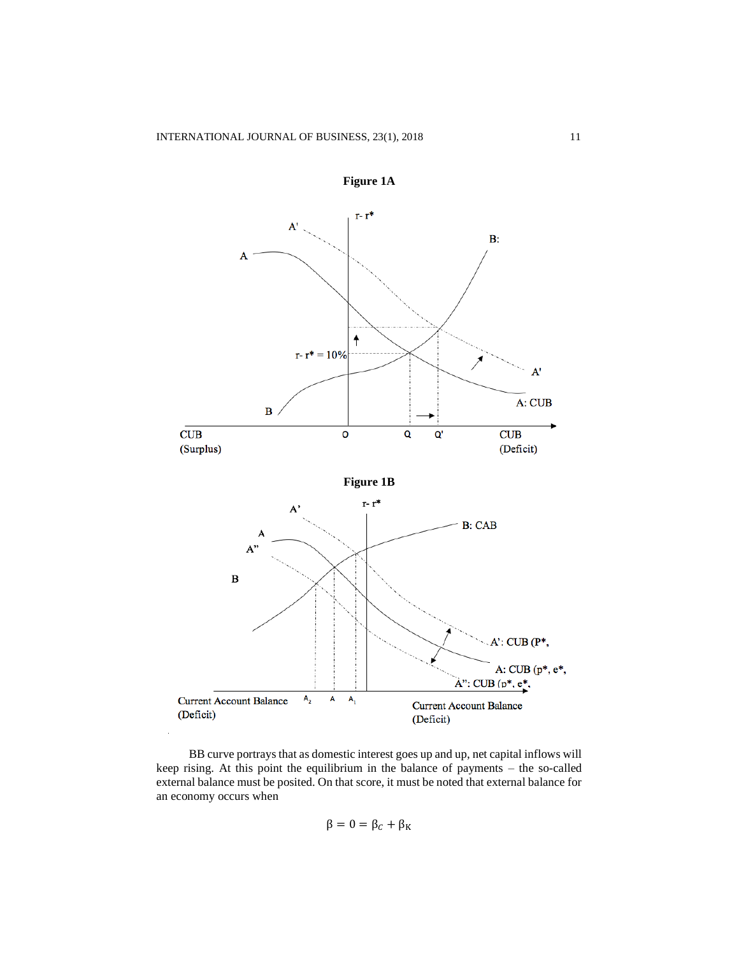

**Figure 1A**

BB curve portrays that as domestic interest goes up and up, net capital inflows will keep rising. At this point the equilibrium in the balance of payments – the so-called external balance must be posited. On that score, it must be noted that external balance for an economy occurs when

$$
\beta = 0 = \beta_C + \beta_K
$$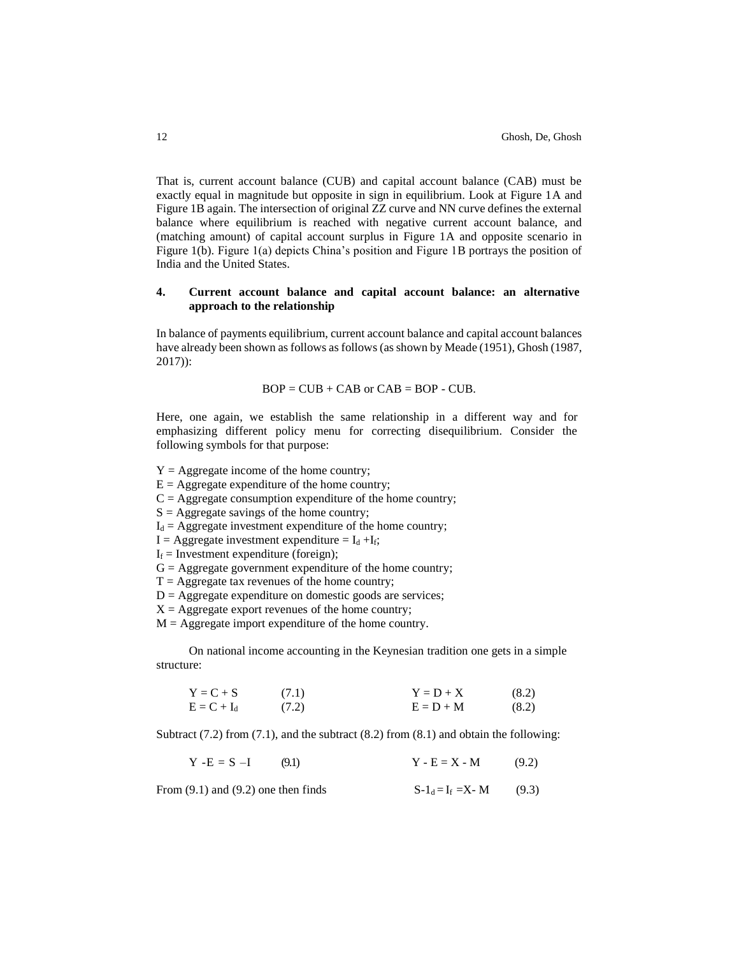That is, current account balance (CUB) and capital account balance (CAB) must be exactly equal in magnitude but opposite in sign in equilibrium. Look at Figure 1A and Figure 1B again. The intersection of original ZZ curve and NN curve defines the external balance where equilibrium is reached with negative current account balance, and (matching amount) of capital account surplus in Figure 1A and opposite scenario in Figure 1(b). Figure 1(a) depicts China's position and Figure 1B portrays the position of India and the United States.

## **4. Current account balance and capital account balance: an alternative approach to the relationship**

In balance of payments equilibrium, current account balance and capital account balances have already been shown as follows as follows (as shown by Meade (1951), Ghosh (1987, 2017)):

$$
BOP = CUB + CAB \text{ or } CAB = BOP - CUB.
$$

Here, one again, we establish the same relationship in a different way and for emphasizing different policy menu for correcting disequilibrium. Consider the following symbols for that purpose:

 $Y =$  Aggregate income of the home country;

- $E =$  Aggregate expenditure of the home country;
- $C =$  Aggregate consumption expenditure of the home country;
- $S =$  Aggregate savings of the home country;
- $I_d =$  Aggregate investment expenditure of the home country;
- $I = \text{Aggregate investment expenditure} = I_d + I_f;$
- $I_f$  = Investment expenditure (foreign);
- $G =$  Aggregate government expenditure of the home country;
- $T =$  Aggregate tax revenues of the home country;
- $D =$  Aggregate expenditure on domestic goods are services;
- $X = \text{Aggregate export revenues of the home country};$
- $M =$  Aggregate import expenditure of the home country.

On national income accounting in the Keynesian tradition one gets in a simple structure:

$$
Y = C + S \t(7.1) \nE = C + Id \t(7.2) \nY = D + X \t(8.2) \nE = D + M \t(8.2)
$$

Subtract (7.2) from (7.1), and the subtract (8.2) from (8.1) and obtain the following:

 $Y - E = S - I$  (9.1)  $Y - E = X - M$  (9.2)

| From $(9.1)$ and $(9.2)$ one then finds | $S-1_d=I_f = X-M$ | (9.3) |
|-----------------------------------------|-------------------|-------|
|-----------------------------------------|-------------------|-------|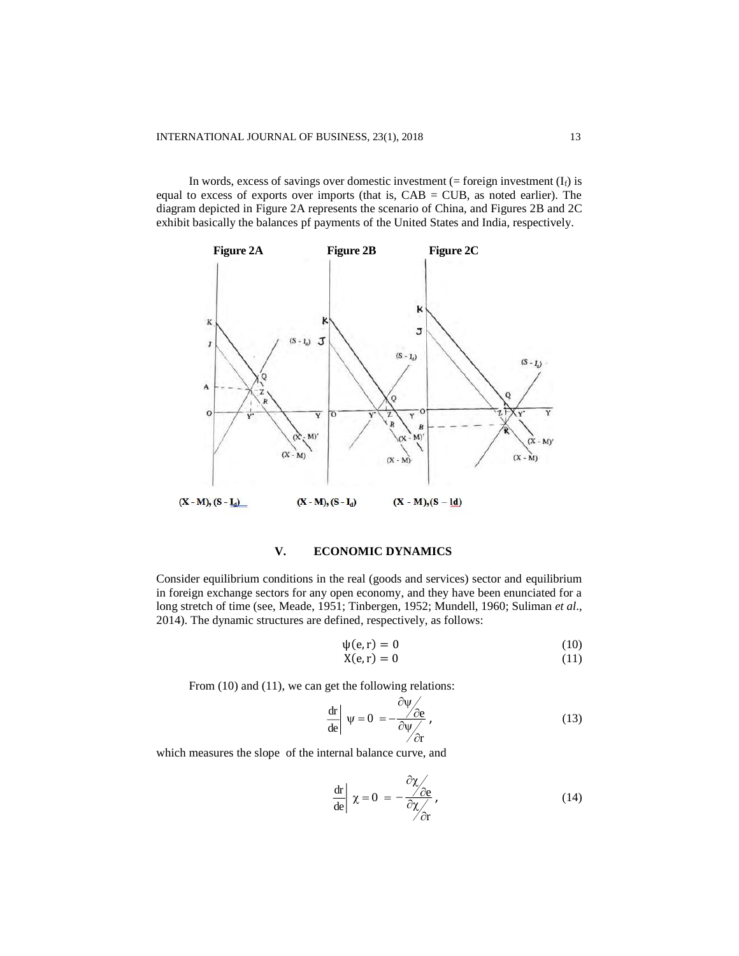In words, excess of savings over domestic investment ( $=$  foreign investment ( $I_f$ ) is equal to excess of exports over imports (that is,  $CAB = CUB$ , as noted earlier). The diagram depicted in Figure 2A represents the scenario of China, and Figures 2B and 2C exhibit basically the balances pf payments of the United States and India, respectively.



## **V. ECONOMIC DYNAMICS**

Consider equilibrium conditions in the real (goods and services) sector and equilibrium in foreign exchange sectors for any open economy, and they have been enunciated for a long stretch of time (see, Meade, 1951; Tinbergen, 1952; Mundell, 1960; Suliman *et al*., 2014). The dynamic structures are defined, respectively, as follows:

$$
\psi(e,r) = 0 \tag{10}
$$

$$
X(e,r) = 0 \tag{11}
$$

From (10) and (11), we can get the following relations:

$$
\frac{\mathrm{d}\mathbf{r}}{\mathrm{d}\mathbf{e}} \left| \Psi = 0 \right. = -\frac{\partial \Psi}{\partial \Psi} \frac{\partial \mathbf{e}}{\partial \mathbf{r}},\tag{13}
$$

which measures the slope of the internal balance curve, and

$$
\frac{\text{dr}}{\text{de}}\left|\chi=0\right. = -\frac{\partial\chi}{\partial\chi}\left(\frac{\partial\chi}{\partial r}\right),\tag{14}
$$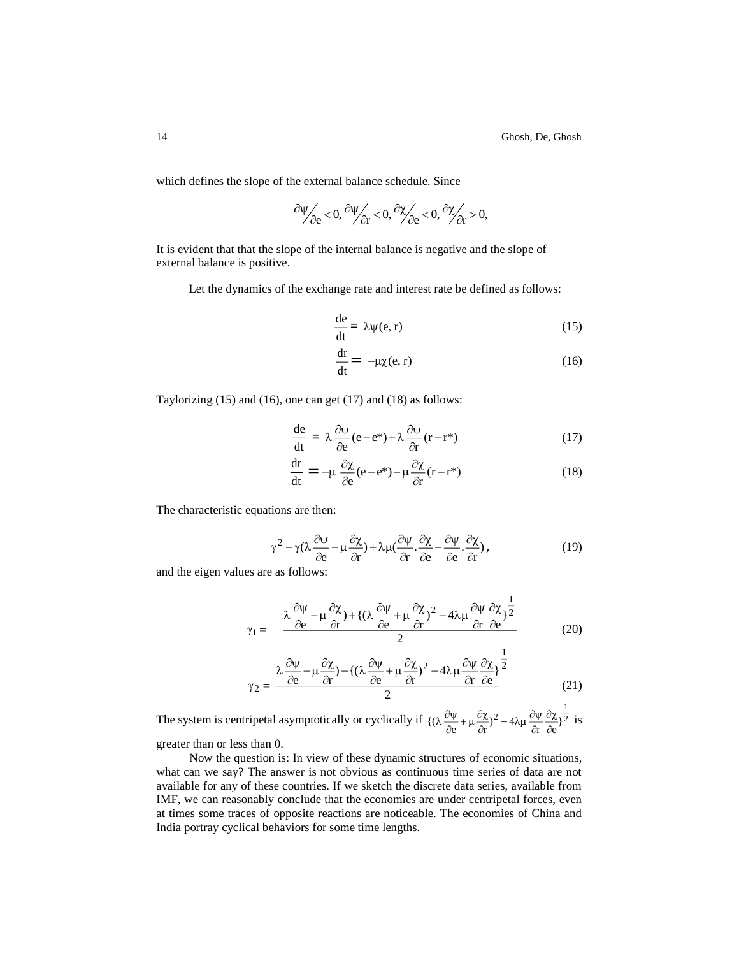which defines the slope of the external balance schedule. Since

$$
\left.\frac{\partial \psi}{\partial e}\! <\! 0,\frac{\partial \psi}{\partial r}\! <\! 0,\frac{\partial \chi}{\partial e}\! <\! 0,\frac{\partial \chi}{\partial r}\! >\! 0,
$$

It is evident that that the slope of the internal balance is negative and the slope of external balance is positive.

Let the dynamics of the exchange rate and interest rate be defined as follows:

$$
\frac{de}{dt} = \lambda \psi(e, r) \tag{15}
$$

$$
\frac{dr}{dt} = -\mu \chi(e, r) \tag{16}
$$

Taylorizing (15) and (16), one can get (17) and (18) as follows:

$$
\frac{de}{dt} = \lambda \frac{\partial \psi}{\partial e} (e - e^{*}) + \lambda \frac{\partial \psi}{\partial r} (r - r^{*})
$$
\n(17)

$$
\frac{dr}{dt} = -\mu \frac{\partial \chi}{\partial e} (e - e^*) - \mu \frac{\partial \chi}{\partial r} (r - r^*)
$$
\n(18)

The characteristic equations are then:

$$
\gamma^{2} - \gamma (\lambda \frac{\partial \psi}{\partial e} - \mu \frac{\partial \chi}{\partial r}) + \lambda \mu (\frac{\partial \psi}{\partial r} \cdot \frac{\partial \chi}{\partial e} - \frac{\partial \psi}{\partial e} \cdot \frac{\partial \chi}{\partial r}),
$$
(19)

1

and the eigen values are as follows:

$$
\gamma_1 = \frac{\lambda \frac{\partial \psi}{\partial e} - \mu \frac{\partial \chi}{\partial r} + \{(\lambda \frac{\partial \psi}{\partial e} + \mu \frac{\partial \chi}{\partial r})^2 - 4\lambda \mu \frac{\partial \psi}{\partial r} \frac{\partial \chi}{\partial e}\}^{\frac{1}{2}}{2}
$$
(20)

$$
\gamma_2 = \frac{\lambda \frac{\partial \psi}{\partial e} - \mu \frac{\partial \chi}{\partial r} - \left\{ (\lambda \frac{\partial \psi}{\partial e} + \mu \frac{\partial \chi}{\partial r})^2 - 4\lambda \mu \frac{\partial \psi}{\partial r} \frac{\partial \chi}{\partial e} \right\}^{\frac{1}{2}}{(21)}
$$

The system is centripetal asymptotically or cyclically if  $((\lambda \frac{\partial \Psi}{\partial t} + \mu \frac{\partial \chi}{\partial t})^2 - 4\lambda \mu \frac{\partial \Psi}{\partial t})^2$ 1  $\{\left(\lambda \frac{\partial \Psi}{\partial e} + \mu \frac{\partial \chi}{\partial r}\right)^2 - 4\lambda \mu \frac{\partial \Psi}{\partial r} \frac{\partial \chi}{\partial e}\}\$ дχ д  $\frac{\partial \chi}{\partial r}$ )<sup>2</sup> – 4λμ  $\frac{\partial \psi}{\partial r}$  $\frac{\partial \Psi}{\partial e} + \mu \frac{\partial \chi}{\partial r}$  $\lambda \frac{\partial \Psi}{\partial \lambda} + \mu \frac{\partial \chi}{\partial \lambda}$  2 - 4 $\lambda \mu \frac{\partial \Psi}{\partial \lambda}$   $\frac{\partial \chi}{\partial \lambda}$  is

greater than or less than 0.

Now the question is: In view of these dynamic structures of economic situations, what can we say? The answer is not obvious as continuous time series of data are not available for any of these countries. If we sketch the discrete data series, available from IMF, we can reasonably conclude that the economies are under centripetal forces, even at times some traces of opposite reactions are noticeable. The economies of China and India portray cyclical behaviors for some time lengths.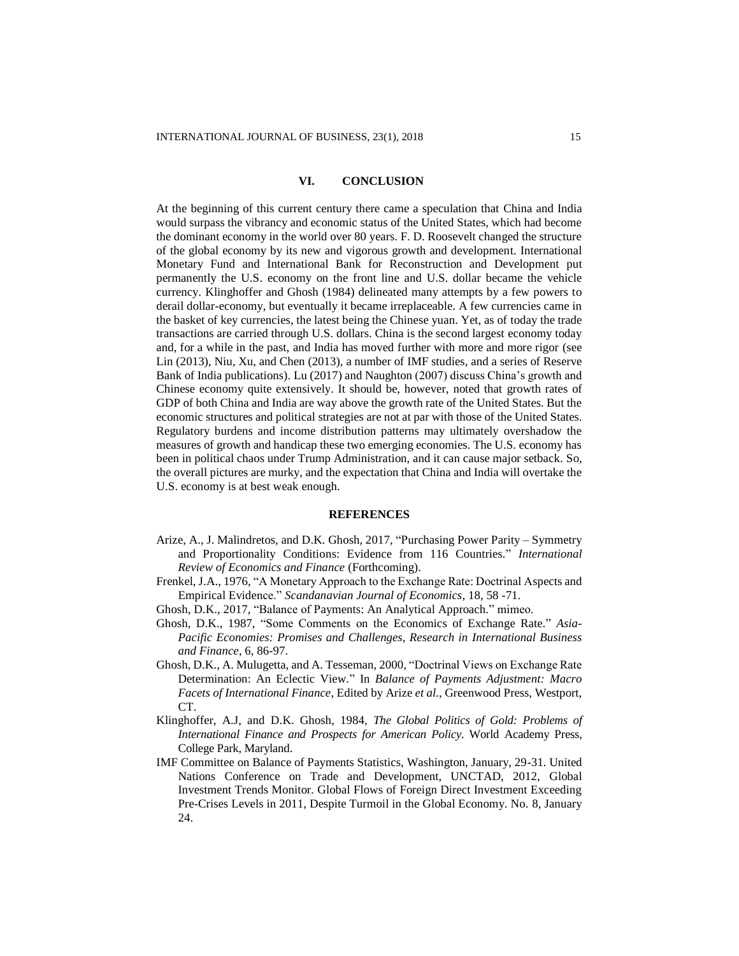#### **VI. CONCLUSION**

At the beginning of this current century there came a speculation that China and India would surpass the vibrancy and economic status of the United States, which had become the dominant economy in the world over 80 years. F. D. Roosevelt changed the structure of the global economy by its new and vigorous growth and development. International Monetary Fund and International Bank for Reconstruction and Development put permanently the U.S. economy on the front line and U.S. dollar became the vehicle currency. Klinghoffer and Ghosh (1984) delineated many attempts by a few powers to derail dollar-economy, but eventually it became irreplaceable. A few currencies came in the basket of key currencies, the latest being the Chinese yuan. Yet, as of today the trade transactions are carried through U.S. dollars. China is the second largest economy today and, for a while in the past, and India has moved further with more and more rigor (see Lin (2013), Niu, Xu, and Chen (2013), a number of IMF studies, and a series of Reserve Bank of India publications). Lu (2017) and Naughton (2007) discuss China's growth and Chinese economy quite extensively. It should be, however, noted that growth rates of GDP of both China and India are way above the growth rate of the United States. But the economic structures and political strategies are not at par with those of the United States. Regulatory burdens and income distribution patterns may ultimately overshadow the measures of growth and handicap these two emerging economies. The U.S. economy has been in political chaos under Trump Administration, and it can cause major setback. So, the overall pictures are murky, and the expectation that China and India will overtake the U.S. economy is at best weak enough.

#### **REFERENCES**

- Arize, A., J. Malindretos, and D.K. Ghosh, 2017, "Purchasing Power Parity Symmetry and Proportionality Conditions: Evidence from 116 Countries." *International Review of Economics and Finance* (Forthcoming).
- Frenkel, J.A., 1976, "A Monetary Approach to the Exchange Rate: Doctrinal Aspects and Empirical Evidence." *Scandanavian Journal of Economics*, 18, 58 -71.
- Ghosh, D.K., 2017, "Balance of Payments: An Analytical Approach." mimeo.
- Ghosh, D.K., 1987, "Some Comments on the Economics of Exchange Rate." *Asia-Pacific Economies: Promises and Challenges, Research in International Business and Finance*, 6, 86-97.
- Ghosh, D.K., A. Mulugetta, and A. Tesseman, 2000, "Doctrinal Views on Exchange Rate Determination: An Eclectic View." In *Balance of Payments Adjustment: Macro Facets of International Finance*, Edited by Arize *et al.*, Greenwood Press, Westport, CT.
- Klinghoffer, A.J, and D.K. Ghosh, 1984, *The Global Politics of Gold: Problems of International Finance and Prospects for American Policy*. World Academy Press, College Park, Maryland.
- IMF Committee on Balance of Payments Statistics, Washington, January, 29-31. United Nations Conference on Trade and Development, UNCTAD, 2012, Global Investment Trends Monitor. Global Flows of Foreign Direct Investment Exceeding Pre-Crises Levels in 2011, Despite Turmoil in the Global Economy. No. 8, January 24.